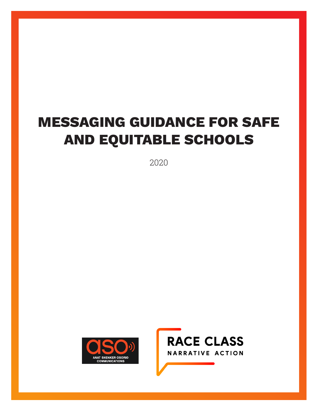# **MESSAGING GUIDANCE FOR SAFE AND EQUITABLE SCHOOLS**

2020



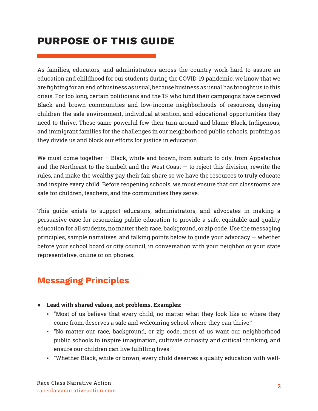# **PURPOSE OF THIS GUIDE**

As families, educators, and administrators across the country work hard to assure an education and childhood for our students during the COVID-19 pandemic, we know that we are fighting for an end of business as usual, because business as usual has brought us to this crisis. For too long, certain politicians and the 1% who fund their campaigns have deprived Black and brown communities and low-income neighborhoods of resources, denying children the safe environment, individual attention, and educational opportunities they need to thrive. These same powerful few then turn around and blame Black, Indigenous, and immigrant families for the challenges in our neighborhood public schools, profiting as they divide us and block our efforts for justice in education.

We must come together  $-$  Black, white and brown, from suburb to city, from Appalachia and the Northeast to the Sunbelt and the West Coast  $-$  to reject this division, rewrite the rules, and make the wealthy pay their fair share so we have the resources to truly educate and inspire every child. Before reopening schools, we must ensure that our classrooms are safe for children, teachers, and the communities they serve.

This guide exists to support educators, administrators, and advocates in making a persuasive case for resourcing public education to provide a safe, equitable and quality education for all students, no matter their race, background, or zip code. Use the messaging principles, sample narratives, and talking points below to guide your advocacy  $-$  whether before your school board or city council, in conversation with your neighbor or your state representative, online or on phones.

## **Messaging Principles**

- Ɣ **Lead with shared values, not problems. Examples:**
	- "Most of us believe that every child, no matter what they look like or where they come from, deserves a safe and welcoming school where they can thrive."
	- "No matter our race, background, or zip code, most of us want our neighborhood public schools to inspire imagination, cultivate curiosity and critical thinking, and ensure our children can live fulfilling lives."
	- "Whether Black, white or brown, every child deserves a quality education with well-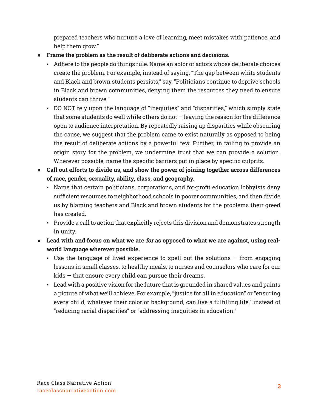prepared teachers who nurture a love of learning, meet mistakes with patience, and help them grow."

- Ɣ **Frame the problem as the result of deliberate actions and decisions.**
	- <sup>t</sup> Adhere to the people do things rule. Name an actor or actors whose deliberate choices create the problem. For example, instead of saying, "The gap between white students and Black and brown students persists," say, "Politicians continue to deprive schools in Black and brown communities, denying them the resources they need to ensure students can thrive."
	- DO NOT rely upon the language of "inequities" and "disparities," which simply state that some students do well while others do not — leaving the reason for the difference open to audience interpretation. By repeatedly raising up disparities while obscuring the cause, we suggest that the problem came to exist naturally as opposed to being the result of deliberate actions by a powerful few. Further, in failing to provide an origin story for the problem, we undermine trust that we can provide a solution. Wherever possible, name the specific barriers put in place by specific culprits.
- Ɣ **Call out efforts to divide us, and show the power of joining together across differences of race, gender, sexuality, ability, class, and geography.**
	- Name that certain politicians, corporations, and for-profit education lobbyists deny sufficient resources to neighborhood schools in poorer communities, and then divide us by blaming teachers and Black and brown students for the problems their greed has created.
	- Provide a call to action that explicitly rejects this division and demonstrates strength in unity.
- Lead with and focus on what we are *for* as opposed to what we are against, using real**world language wherever possible.**
	- **Jong 1** Use the language of lived experience to spell out the solutions  $-$  from engaging lessons in small classes, to healthy meals, to nurses and counselors who care for our kids — that ensure every child can pursue their dreams.
	- Lead with a positive vision for the future that is grounded in shared values and paints a picture of what we'll achieve. For example, "justice for all in education" or "ensuring every child, whatever their color or background, can live a fulfilling life," instead of "reducing racial disparities" or "addressing inequities in education."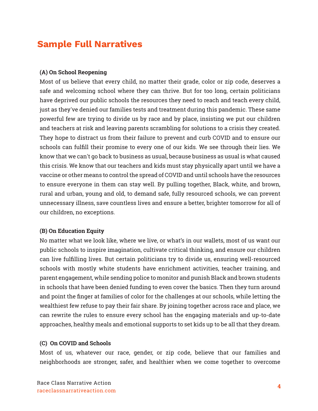# **Sample Full Narratives**

#### **(A) On School Reopening**

Most of us believe that every child, no matter their grade, color or zip code, deserves a safe and welcoming school where they can thrive. But for too long, certain politicians have deprived our public schools the resources they need to reach and teach every child, just as they've denied our families tests and treatment during this pandemic. These same powerful few are trying to divide us by race and by place, insisting we put our children and teachers at risk and leaving parents scrambling for solutions to a crisis they created. They hope to distract us from their failure to prevent and curb COVID and to ensure our schools can fulfill their promise to every one of our kids. We see through their lies. We know that we can't go back to business as usual, because business as usual is what caused this crisis. We know that our teachers and kids must stay physically apart until we have a vaccine or other means to control the spread of COVID and until schools have the resources to ensure everyone in them can stay well. By pulling together, Black, white, and brown, rural and urban, young and old, to demand safe, fully resourced schools, we can prevent unnecessary illness, save countless lives and ensure a better, brighter tomorrow for all of our children, no exceptions.

#### **(B) On Education Equity**

No matter what we look like, where we live, or what's in our wallets, most of us want our public schools to inspire imagination, cultivate critical thinking, and ensure our children can live fulfilling lives. But certain politicians try to divide us, ensuring well-resourced schools with mostly white students have enrichment activities, teacher training, and parent engagement, while sending police to monitor and punish Black and brown students in schools that have been denied funding to even cover the basics. Then they turn around and point the finger at families of color for the challenges at our schools, while letting the wealthiest few refuse to pay their fair share. By joining together across race and place, we can rewrite the rules to ensure every school has the engaging materials and up-to-date approaches, healthy meals and emotional supports to set kids up to be all that they dream.

#### **(C) On COVID and Schools**

Most of us, whatever our race, gender, or zip code, believe that our families and neighborhoods are stronger, safer, and healthier when we come together to overcome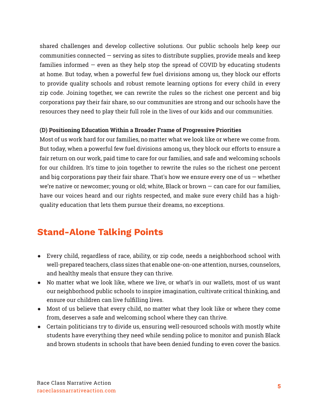shared challenges and develop collective solutions. Our public schools help keep our communities connected  $-$  serving as sites to distribute supplies, provide meals and keep families informed  $-$  even as they help stop the spread of COVID by educating students at home. But today, when a powerful few fuel divisions among us, they block our efforts to provide quality schools and robust remote learning options for every child in every zip code. Joining together, we can rewrite the rules so the richest one percent and big corporations pay their fair share, so our communities are strong and our schools have the resources they need to play their full role in the lives of our kids and our communities.

#### **(D) Positioning Education Within a Broader Frame of Progressive Priorities**

Most of us work hard for our families, no matter what we look like or where we come from. But today, when a powerful few fuel divisions among us, they block our efforts to ensure a fair return on our work, paid time to care for our families, and safe and welcoming schools for our children. It's time to join together to rewrite the rules so the richest one percent and big corporations pay their fair share. That's how we ensure every one of us  $-$  whether we're native or newcomer; young or old; white, Black or brown  $-$  can care for our families, have our voices heard and our rights respected, and make sure every child has a highquality education that lets them pursue their dreams, no exceptions.

## **Stand-Alone Talking Points**

- Every child, regardless of race, ability, or zip code, needs a neighborhood school with well-prepared teachers, class sizes that enable one-on-one attention, nurses, counselors, and healthy meals that ensure they can thrive.
- No matter what we look like, where we live, or what's in our wallets, most of us want our neighborhood public schools to inspire imagination, cultivate critical thinking, and ensure our children can live fulfilling lives.
- Most of us believe that every child, no matter what they look like or where they come from, deserves a safe and welcoming school where they can thrive.
- Certain politicians try to divide us, ensuring well-resourced schools with mostly white students have everything they need while sending police to monitor and punish Black and brown students in schools that have been denied funding to even cover the basics.